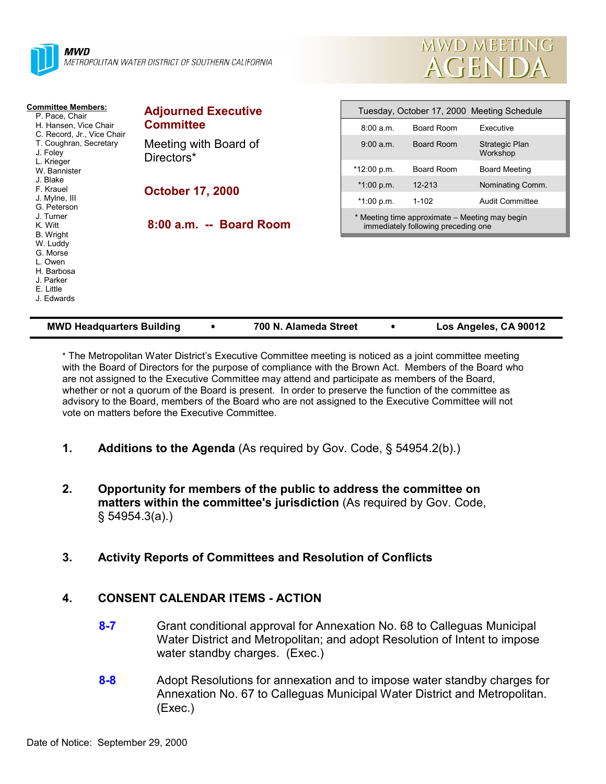

| MWD MEETING |  |
|-------------|--|
| AGENDA      |  |

| <b>Committee Members:</b><br>P. Pace, Chair<br>H. Hansen, Vice Chair<br>C. Record, Jr., Vice Chair<br>T. Coughran, Secretary<br>J. Foley<br>L. Krieger<br>W. Bannister<br>J. Blake<br>F. Krauel<br>J. Mylne, III<br>G. Peterson<br>J. Turner<br>K. Witt<br>B. Wright<br>W. Luddy<br>G. Morse<br>L. Owen<br>H. Barbosa<br>J. Parker<br>E. Little<br>J. Edwards | <b>Adjourned Executive</b><br><b>Committee</b> | Tuesday, October 17, 2000 Meeting Schedule |                                                                                       |                                   |
|---------------------------------------------------------------------------------------------------------------------------------------------------------------------------------------------------------------------------------------------------------------------------------------------------------------------------------------------------------------|------------------------------------------------|--------------------------------------------|---------------------------------------------------------------------------------------|-----------------------------------|
|                                                                                                                                                                                                                                                                                                                                                               |                                                | 8:00 a.m.                                  | Board Room                                                                            | Executive                         |
|                                                                                                                                                                                                                                                                                                                                                               | Meeting with Board of<br>Directors*            | 9:00 a.m.                                  | Board Room                                                                            | <b>Strategic Plan</b><br>Workshop |
|                                                                                                                                                                                                                                                                                                                                                               |                                                | *12:00 p.m.                                | Board Room                                                                            | <b>Board Meeting</b>              |
|                                                                                                                                                                                                                                                                                                                                                               | <b>October 17, 2000</b>                        | $*1:00 p.m.$                               | 12-213                                                                                | Nominating Comm.                  |
|                                                                                                                                                                                                                                                                                                                                                               |                                                | $*1:00 p.m.$                               | $1 - 102$                                                                             | <b>Audit Committee</b>            |
|                                                                                                                                                                                                                                                                                                                                                               | 8:00 a.m. -- Board Room                        |                                            | * Meeting time approximate – Meeting may begin<br>immediately following preceding one |                                   |

\* The Metropolitan Water District's Executive Committee meeting is noticed as a joint committee meeting with the Board of Directors for the purpose of compliance with the Brown Act. Members of the Board who are not assigned to the Executive Committee may attend and participate as members of the Board, whether or not a quorum of the Board is present. In order to preserve the function of the committee as advisory to the Board, members of the Board who are not assigned to the Executive Committee will not vote on matters before the Executive Committee.

- **1. Additions to the Agenda** (As required by Gov. Code, § 54954.2(b).)
- **2. Opportunity for members of the public to address the committee on matters within the committee's jurisdiction** (As required by Gov. Code, § 54954.3(a).)
- **3. Activity Reports of Committees and Resolution of Conflicts**

### **4. CONSENT CALENDAR ITEMS - ACTION**

- **8-7** Grant conditional approval for Annexation No. 68 to Calleguas Municipal Water District and Metropolitan; and adopt Resolution of Intent to impose water standby charges. (Exec.)
- **8-8** Adopt Resolutions for annexation and to impose water standby charges for Annexation No. 67 to Calleguas Municipal Water District and Metropolitan. (Exec.)